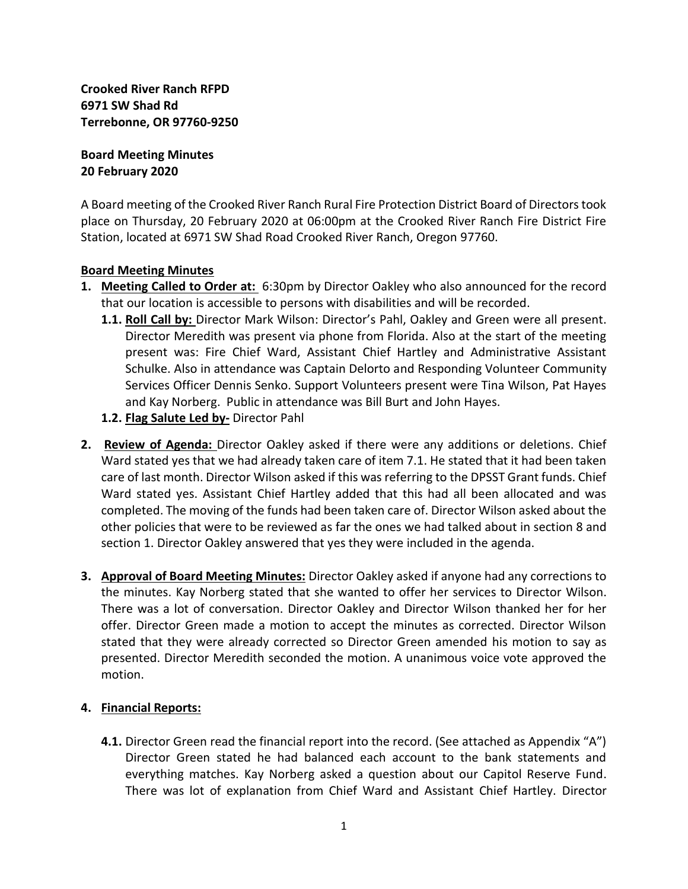**Crooked River Ranch RFPD 6971 SW Shad Rd Terrebonne, OR 97760-9250**

**Board Meeting Minutes 20 February 2020**

A Board meeting of the Crooked River Ranch Rural Fire Protection District Board of Directors took place on Thursday, 20 February 2020 at 06:00pm at the Crooked River Ranch Fire District Fire Station, located at 6971 SW Shad Road Crooked River Ranch, Oregon 97760.

## **Board Meeting Minutes**

- **1. Meeting Called to Order at:** 6:30pm by Director Oakley who also announced for the record that our location is accessible to persons with disabilities and will be recorded.
	- **1.1. Roll Call by:** Director Mark Wilson: Director's Pahl, Oakley and Green were all present. Director Meredith was present via phone from Florida. Also at the start of the meeting present was: Fire Chief Ward, Assistant Chief Hartley and Administrative Assistant Schulke. Also in attendance was Captain Delorto and Responding Volunteer Community Services Officer Dennis Senko. Support Volunteers present were Tina Wilson, Pat Hayes and Kay Norberg. Public in attendance was Bill Burt and John Hayes.
	- **1.2. Flag Salute Led by-** Director Pahl
- **2. Review of Agenda:** Director Oakley asked if there were any additions or deletions. Chief Ward stated yes that we had already taken care of item 7.1. He stated that it had been taken care of last month. Director Wilson asked if this was referring to the DPSST Grant funds. Chief Ward stated yes. Assistant Chief Hartley added that this had all been allocated and was completed. The moving of the funds had been taken care of. Director Wilson asked about the other policies that were to be reviewed as far the ones we had talked about in section 8 and section 1. Director Oakley answered that yes they were included in the agenda.
- **3. Approval of Board Meeting Minutes:** Director Oakley asked if anyone had any corrections to the minutes. Kay Norberg stated that she wanted to offer her services to Director Wilson. There was a lot of conversation. Director Oakley and Director Wilson thanked her for her offer. Director Green made a motion to accept the minutes as corrected. Director Wilson stated that they were already corrected so Director Green amended his motion to say as presented. Director Meredith seconded the motion. A unanimous voice vote approved the motion.

### **4. Financial Reports:**

**4.1.** Director Green read the financial report into the record. (See attached as Appendix "A") Director Green stated he had balanced each account to the bank statements and everything matches. Kay Norberg asked a question about our Capitol Reserve Fund. There was lot of explanation from Chief Ward and Assistant Chief Hartley. Director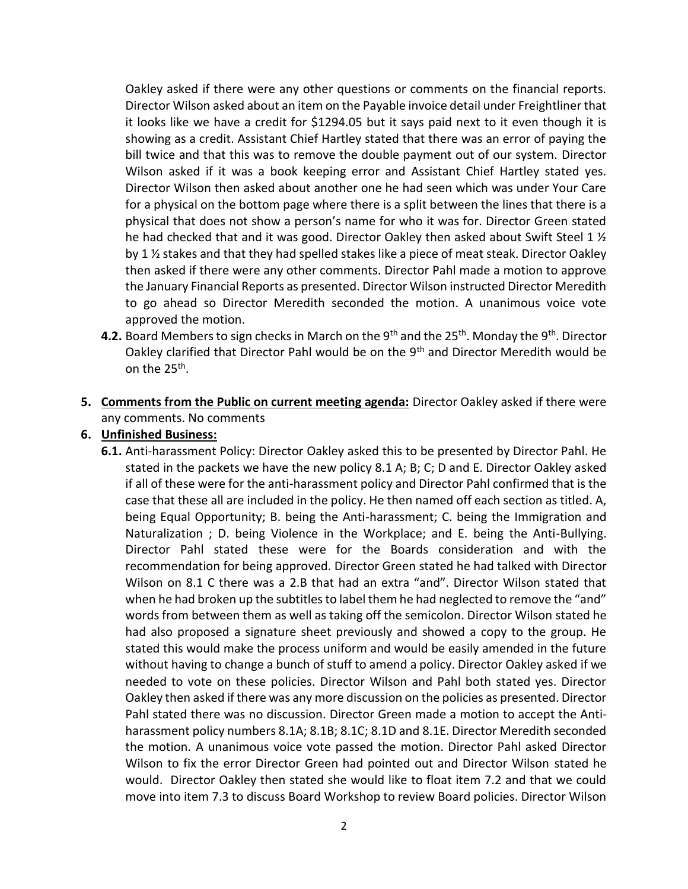Oakley asked if there were any other questions or comments on the financial reports. Director Wilson asked about an item on the Payable invoice detail under Freightliner that it looks like we have a credit for \$1294.05 but it says paid next to it even though it is showing as a credit. Assistant Chief Hartley stated that there was an error of paying the bill twice and that this was to remove the double payment out of our system. Director Wilson asked if it was a book keeping error and Assistant Chief Hartley stated yes. Director Wilson then asked about another one he had seen which was under Your Care for a physical on the bottom page where there is a split between the lines that there is a physical that does not show a person's name for who it was for. Director Green stated he had checked that and it was good. Director Oakley then asked about Swift Steel 1  $\frac{1}{2}$ by 1 ½ stakes and that they had spelled stakes like a piece of meat steak. Director Oakley then asked if there were any other comments. Director Pahl made a motion to approve the January Financial Reports as presented. Director Wilson instructed Director Meredith to go ahead so Director Meredith seconded the motion. A unanimous voice vote approved the motion.

- **4.2.** Board Members to sign checks in March on the 9<sup>th</sup> and the 25<sup>th</sup>. Monday the 9<sup>th</sup>. Director Oakley clarified that Director Pahl would be on the 9<sup>th</sup> and Director Meredith would be on the 25<sup>th</sup>.
- **5. Comments from the Public on current meeting agenda:** Director Oakley asked if there were any comments. No comments

### **6. Unfinished Business:**

**6.1.** Anti-harassment Policy: Director Oakley asked this to be presented by Director Pahl. He stated in the packets we have the new policy 8.1 A; B; C; D and E. Director Oakley asked if all of these were for the anti-harassment policy and Director Pahl confirmed that is the case that these all are included in the policy. He then named off each section as titled. A, being Equal Opportunity; B. being the Anti-harassment; C. being the Immigration and Naturalization ; D. being Violence in the Workplace; and E. being the Anti-Bullying. Director Pahl stated these were for the Boards consideration and with the recommendation for being approved. Director Green stated he had talked with Director Wilson on 8.1 C there was a 2.B that had an extra "and". Director Wilson stated that when he had broken up the subtitles to label them he had neglected to remove the "and" words from between them as well as taking off the semicolon. Director Wilson stated he had also proposed a signature sheet previously and showed a copy to the group. He stated this would make the process uniform and would be easily amended in the future without having to change a bunch of stuff to amend a policy. Director Oakley asked if we needed to vote on these policies. Director Wilson and Pahl both stated yes. Director Oakley then asked if there was any more discussion on the policies as presented. Director Pahl stated there was no discussion. Director Green made a motion to accept the Antiharassment policy numbers 8.1A; 8.1B; 8.1C; 8.1D and 8.1E. Director Meredith seconded the motion. A unanimous voice vote passed the motion. Director Pahl asked Director Wilson to fix the error Director Green had pointed out and Director Wilson stated he would. Director Oakley then stated she would like to float item 7.2 and that we could move into item 7.3 to discuss Board Workshop to review Board policies. Director Wilson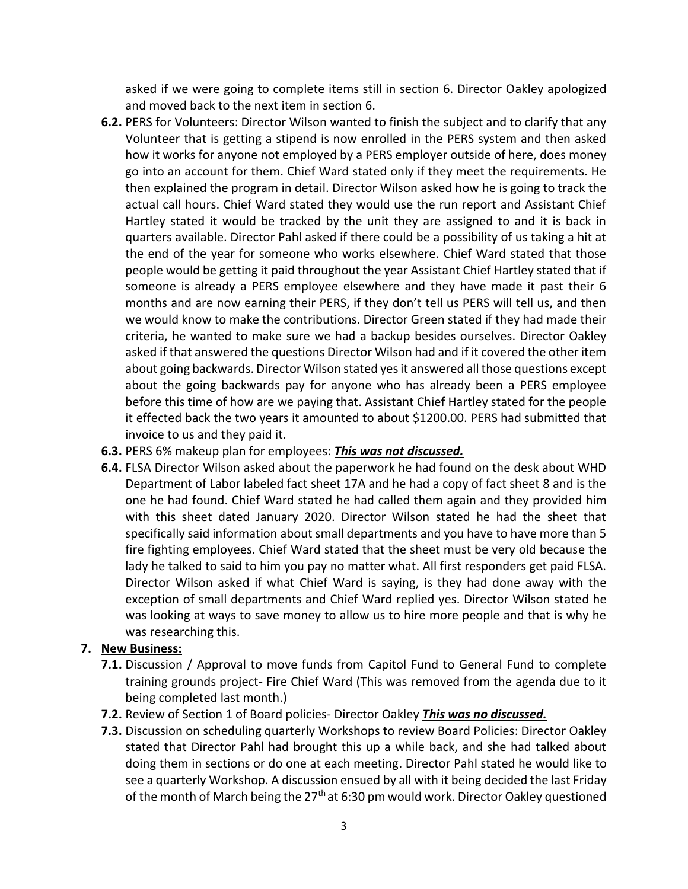asked if we were going to complete items still in section 6. Director Oakley apologized and moved back to the next item in section 6.

- **6.2.** PERS for Volunteers: Director Wilson wanted to finish the subject and to clarify that any Volunteer that is getting a stipend is now enrolled in the PERS system and then asked how it works for anyone not employed by a PERS employer outside of here, does money go into an account for them. Chief Ward stated only if they meet the requirements. He then explained the program in detail. Director Wilson asked how he is going to track the actual call hours. Chief Ward stated they would use the run report and Assistant Chief Hartley stated it would be tracked by the unit they are assigned to and it is back in quarters available. Director Pahl asked if there could be a possibility of us taking a hit at the end of the year for someone who works elsewhere. Chief Ward stated that those people would be getting it paid throughout the year Assistant Chief Hartley stated that if someone is already a PERS employee elsewhere and they have made it past their 6 months and are now earning their PERS, if they don't tell us PERS will tell us, and then we would know to make the contributions. Director Green stated if they had made their criteria, he wanted to make sure we had a backup besides ourselves. Director Oakley asked if that answered the questions Director Wilson had and if it covered the other item about going backwards. Director Wilson stated yes it answered all those questions except about the going backwards pay for anyone who has already been a PERS employee before this time of how are we paying that. Assistant Chief Hartley stated for the people it effected back the two years it amounted to about \$1200.00. PERS had submitted that invoice to us and they paid it.
- **6.3.** PERS 6% makeup plan for employees: *This was not discussed.*
- **6.4.** FLSA Director Wilson asked about the paperwork he had found on the desk about WHD Department of Labor labeled fact sheet 17A and he had a copy of fact sheet 8 and is the one he had found. Chief Ward stated he had called them again and they provided him with this sheet dated January 2020. Director Wilson stated he had the sheet that specifically said information about small departments and you have to have more than 5 fire fighting employees. Chief Ward stated that the sheet must be very old because the lady he talked to said to him you pay no matter what. All first responders get paid FLSA. Director Wilson asked if what Chief Ward is saying, is they had done away with the exception of small departments and Chief Ward replied yes. Director Wilson stated he was looking at ways to save money to allow us to hire more people and that is why he was researching this.

### **7. New Business:**

- **7.1.** Discussion / Approval to move funds from Capitol Fund to General Fund to complete training grounds project- Fire Chief Ward (This was removed from the agenda due to it being completed last month.)
- **7.2.** Review of Section 1 of Board policies- Director Oakley *This was no discussed.*
- **7.3.** Discussion on scheduling quarterly Workshops to review Board Policies: Director Oakley stated that Director Pahl had brought this up a while back, and she had talked about doing them in sections or do one at each meeting. Director Pahl stated he would like to see a quarterly Workshop. A discussion ensued by all with it being decided the last Friday of the month of March being the  $27<sup>th</sup>$  at 6:30 pm would work. Director Oakley questioned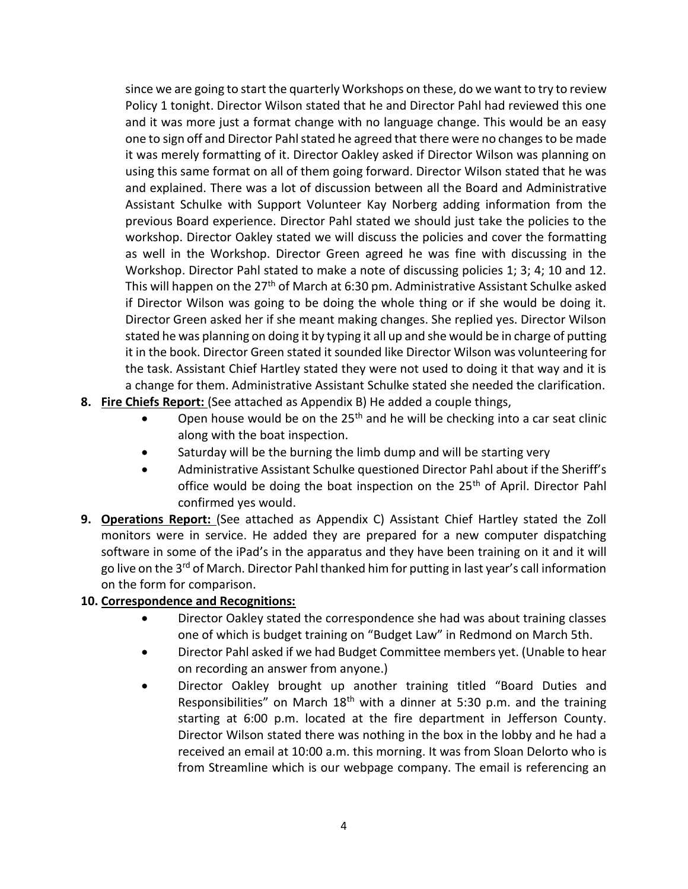since we are going to start the quarterly Workshops on these, do we want to try to review Policy 1 tonight. Director Wilson stated that he and Director Pahl had reviewed this one and it was more just a format change with no language change. This would be an easy one to sign off and Director Pahl stated he agreed that there were no changes to be made it was merely formatting of it. Director Oakley asked if Director Wilson was planning on using this same format on all of them going forward. Director Wilson stated that he was and explained. There was a lot of discussion between all the Board and Administrative Assistant Schulke with Support Volunteer Kay Norberg adding information from the previous Board experience. Director Pahl stated we should just take the policies to the workshop. Director Oakley stated we will discuss the policies and cover the formatting as well in the Workshop. Director Green agreed he was fine with discussing in the Workshop. Director Pahl stated to make a note of discussing policies 1; 3; 4; 10 and 12. This will happen on the 27<sup>th</sup> of March at 6:30 pm. Administrative Assistant Schulke asked if Director Wilson was going to be doing the whole thing or if she would be doing it. Director Green asked her if she meant making changes. She replied yes. Director Wilson stated he was planning on doing it by typing it all up and she would be in charge of putting it in the book. Director Green stated it sounded like Director Wilson was volunteering for the task. Assistant Chief Hartley stated they were not used to doing it that way and it is a change for them. Administrative Assistant Schulke stated she needed the clarification.

- **8. Fire Chiefs Report:** (See attached as Appendix B) He added a couple things,
	- Open house would be on the 25<sup>th</sup> and he will be checking into a car seat clinic along with the boat inspection.
	- Saturday will be the burning the limb dump and will be starting very
	- Administrative Assistant Schulke questioned Director Pahl about if the Sheriff's office would be doing the boat inspection on the 25<sup>th</sup> of April. Director Pahl confirmed yes would.
- **9. Operations Report:** (See attached as Appendix C) Assistant Chief Hartley stated the Zoll monitors were in service. He added they are prepared for a new computer dispatching software in some of the iPad's in the apparatus and they have been training on it and it will go live on the 3<sup>rd</sup> of March. Director Pahl thanked him for putting in last year's call information on the form for comparison.

# **10. Correspondence and Recognitions:**

- Director Oakley stated the correspondence she had was about training classes one of which is budget training on "Budget Law" in Redmond on March 5th.
- Director Pahl asked if we had Budget Committee members yet. (Unable to hear on recording an answer from anyone.)
- Director Oakley brought up another training titled "Board Duties and Responsibilities" on March  $18<sup>th</sup>$  with a dinner at 5:30 p.m. and the training starting at 6:00 p.m. located at the fire department in Jefferson County. Director Wilson stated there was nothing in the box in the lobby and he had a received an email at 10:00 a.m. this morning. It was from Sloan Delorto who is from Streamline which is our webpage company. The email is referencing an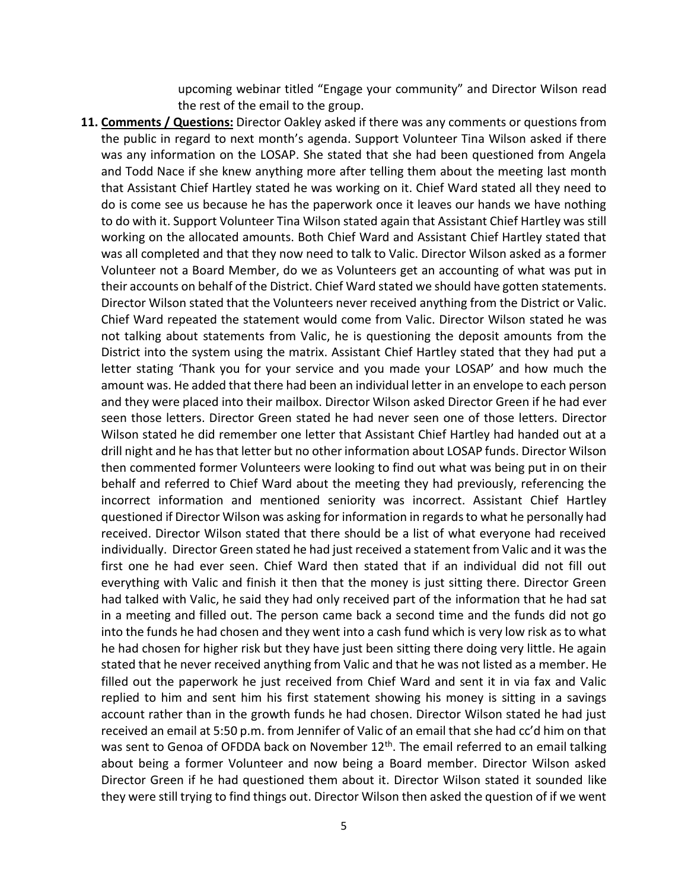upcoming webinar titled "Engage your community" and Director Wilson read the rest of the email to the group.

**11. Comments / Questions:** Director Oakley asked if there was any comments or questions from the public in regard to next month's agenda. Support Volunteer Tina Wilson asked if there was any information on the LOSAP. She stated that she had been questioned from Angela and Todd Nace if she knew anything more after telling them about the meeting last month that Assistant Chief Hartley stated he was working on it. Chief Ward stated all they need to do is come see us because he has the paperwork once it leaves our hands we have nothing to do with it. Support Volunteer Tina Wilson stated again that Assistant Chief Hartley was still working on the allocated amounts. Both Chief Ward and Assistant Chief Hartley stated that was all completed and that they now need to talk to Valic. Director Wilson asked as a former Volunteer not a Board Member, do we as Volunteers get an accounting of what was put in their accounts on behalf of the District. Chief Ward stated we should have gotten statements. Director Wilson stated that the Volunteers never received anything from the District or Valic. Chief Ward repeated the statement would come from Valic. Director Wilson stated he was not talking about statements from Valic, he is questioning the deposit amounts from the District into the system using the matrix. Assistant Chief Hartley stated that they had put a letter stating 'Thank you for your service and you made your LOSAP' and how much the amount was. He added that there had been an individual letter in an envelope to each person and they were placed into their mailbox. Director Wilson asked Director Green if he had ever seen those letters. Director Green stated he had never seen one of those letters. Director Wilson stated he did remember one letter that Assistant Chief Hartley had handed out at a drill night and he has that letter but no other information about LOSAP funds. Director Wilson then commented former Volunteers were looking to find out what was being put in on their behalf and referred to Chief Ward about the meeting they had previously, referencing the incorrect information and mentioned seniority was incorrect. Assistant Chief Hartley questioned if Director Wilson was asking for information in regards to what he personally had received. Director Wilson stated that there should be a list of what everyone had received individually. Director Green stated he had just received a statement from Valic and it was the first one he had ever seen. Chief Ward then stated that if an individual did not fill out everything with Valic and finish it then that the money is just sitting there. Director Green had talked with Valic, he said they had only received part of the information that he had sat in a meeting and filled out. The person came back a second time and the funds did not go into the funds he had chosen and they went into a cash fund which is very low risk as to what he had chosen for higher risk but they have just been sitting there doing very little. He again stated that he never received anything from Valic and that he was not listed as a member. He filled out the paperwork he just received from Chief Ward and sent it in via fax and Valic replied to him and sent him his first statement showing his money is sitting in a savings account rather than in the growth funds he had chosen. Director Wilson stated he had just received an email at 5:50 p.m. from Jennifer of Valic of an email that she had cc'd him on that was sent to Genoa of OFDDA back on November  $12<sup>th</sup>$ . The email referred to an email talking about being a former Volunteer and now being a Board member. Director Wilson asked Director Green if he had questioned them about it. Director Wilson stated it sounded like they were still trying to find things out. Director Wilson then asked the question of if we went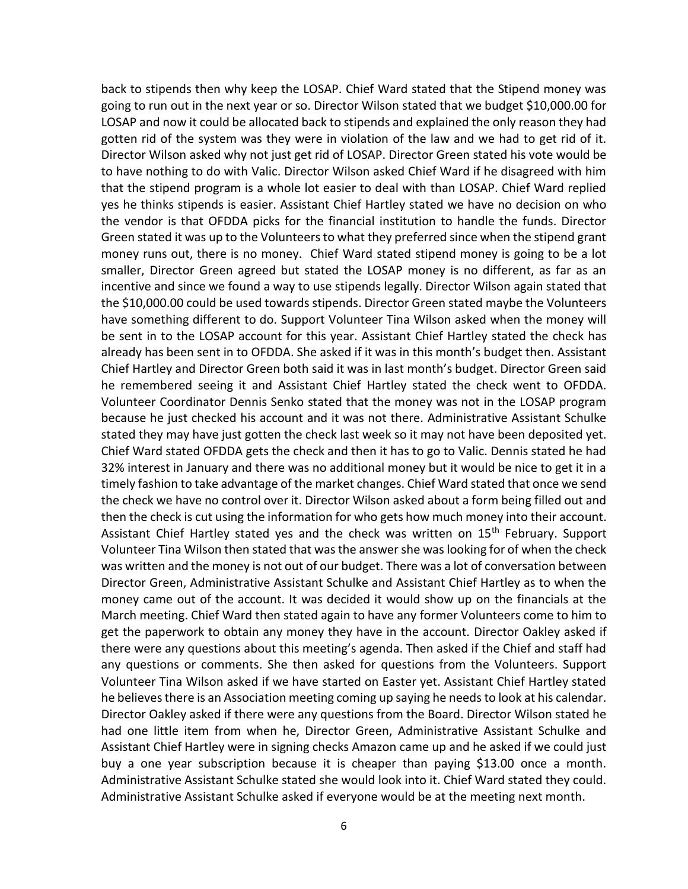back to stipends then why keep the LOSAP. Chief Ward stated that the Stipend money was going to run out in the next year or so. Director Wilson stated that we budget \$10,000.00 for LOSAP and now it could be allocated back to stipends and explained the only reason they had gotten rid of the system was they were in violation of the law and we had to get rid of it. Director Wilson asked why not just get rid of LOSAP. Director Green stated his vote would be to have nothing to do with Valic. Director Wilson asked Chief Ward if he disagreed with him that the stipend program is a whole lot easier to deal with than LOSAP. Chief Ward replied yes he thinks stipends is easier. Assistant Chief Hartley stated we have no decision on who the vendor is that OFDDA picks for the financial institution to handle the funds. Director Green stated it was up to the Volunteers to what they preferred since when the stipend grant money runs out, there is no money. Chief Ward stated stipend money is going to be a lot smaller, Director Green agreed but stated the LOSAP money is no different, as far as an incentive and since we found a way to use stipends legally. Director Wilson again stated that the \$10,000.00 could be used towards stipends. Director Green stated maybe the Volunteers have something different to do. Support Volunteer Tina Wilson asked when the money will be sent in to the LOSAP account for this year. Assistant Chief Hartley stated the check has already has been sent in to OFDDA. She asked if it was in this month's budget then. Assistant Chief Hartley and Director Green both said it was in last month's budget. Director Green said he remembered seeing it and Assistant Chief Hartley stated the check went to OFDDA. Volunteer Coordinator Dennis Senko stated that the money was not in the LOSAP program because he just checked his account and it was not there. Administrative Assistant Schulke stated they may have just gotten the check last week so it may not have been deposited yet. Chief Ward stated OFDDA gets the check and then it has to go to Valic. Dennis stated he had 32% interest in January and there was no additional money but it would be nice to get it in a timely fashion to take advantage of the market changes. Chief Ward stated that once we send the check we have no control over it. Director Wilson asked about a form being filled out and then the check is cut using the information for who gets how much money into their account. Assistant Chief Hartley stated yes and the check was written on 15<sup>th</sup> February. Support Volunteer Tina Wilson then stated that was the answer she was looking for of when the check was written and the money is not out of our budget. There was a lot of conversation between Director Green, Administrative Assistant Schulke and Assistant Chief Hartley as to when the money came out of the account. It was decided it would show up on the financials at the March meeting. Chief Ward then stated again to have any former Volunteers come to him to get the paperwork to obtain any money they have in the account. Director Oakley asked if there were any questions about this meeting's agenda. Then asked if the Chief and staff had any questions or comments. She then asked for questions from the Volunteers. Support Volunteer Tina Wilson asked if we have started on Easter yet. Assistant Chief Hartley stated he believes there is an Association meeting coming up saying he needs to look at his calendar. Director Oakley asked if there were any questions from the Board. Director Wilson stated he had one little item from when he, Director Green, Administrative Assistant Schulke and Assistant Chief Hartley were in signing checks Amazon came up and he asked if we could just buy a one year subscription because it is cheaper than paying \$13.00 once a month. Administrative Assistant Schulke stated she would look into it. Chief Ward stated they could. Administrative Assistant Schulke asked if everyone would be at the meeting next month.